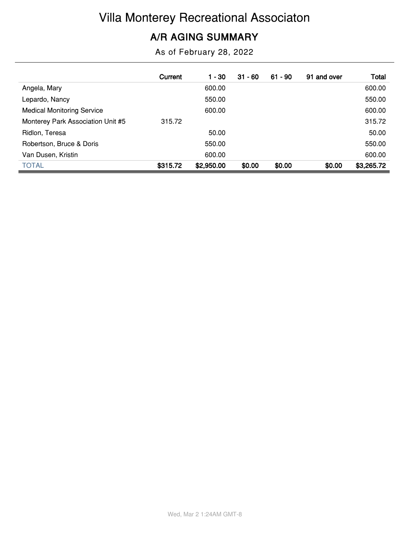# Villa Monterey Recreational Associaton

#### **A/R AGING SUMMARY**

As of February 28, 2022

|                                   | Current  | 1 - 30     | $31 - 60$ | $61 - 90$ | 91 and over | Total      |
|-----------------------------------|----------|------------|-----------|-----------|-------------|------------|
| Angela, Mary                      |          | 600.00     |           |           |             | 600.00     |
| Lepardo, Nancy                    |          | 550.00     |           |           |             | 550.00     |
| <b>Medical Monitoring Service</b> |          | 600.00     |           |           |             | 600.00     |
| Monterey Park Association Unit #5 | 315.72   |            |           |           |             | 315.72     |
| Ridlon, Teresa                    |          | 50.00      |           |           |             | 50.00      |
| Robertson, Bruce & Doris          |          | 550.00     |           |           |             | 550.00     |
| Van Dusen, Kristin                |          | 600.00     |           |           |             | 600.00     |
| <b>TOTAL</b>                      | \$315.72 | \$2,950.00 | \$0.00    | \$0.00    | \$0.00      | \$3,265.72 |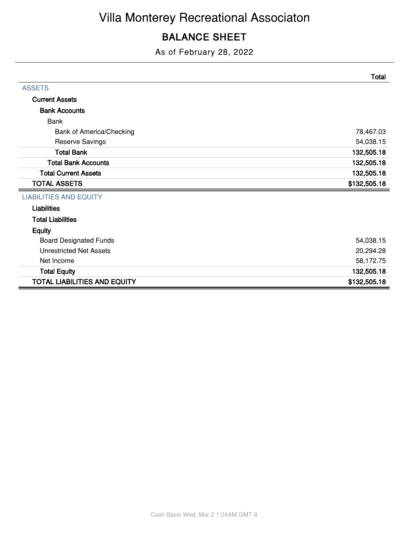### **BALANCE SHEET**

As of February 28, 2022

|                                     | <b>Total</b> |
|-------------------------------------|--------------|
| <b>ASSETS</b>                       |              |
| <b>Current Assets</b>               |              |
| <b>Bank Accounts</b>                |              |
| <b>Bank</b>                         |              |
| Bank of America/Checking            | 78,467.03    |
| <b>Reserve Savings</b>              | 54,038.15    |
| <b>Total Bank</b>                   | 132,505.18   |
| <b>Total Bank Accounts</b>          | 132,505.18   |
| <b>Total Current Assets</b>         | 132,505.18   |
| <b>TOTAL ASSETS</b>                 | \$132,505.18 |
| <b>LIABILITIES AND EQUITY</b>       |              |
| <b>Liabilities</b>                  |              |
| <b>Total Liabilities</b>            |              |
| <b>Equity</b>                       |              |
| <b>Board Designated Funds</b>       | 54,038.15    |
| <b>Unrestricted Net Assets</b>      | 20,294.28    |
| Net Income                          | 58,172.75    |
| <b>Total Equity</b>                 | 132,505.18   |
| <b>TOTAL LIABILITIES AND EQUITY</b> | \$132,505.18 |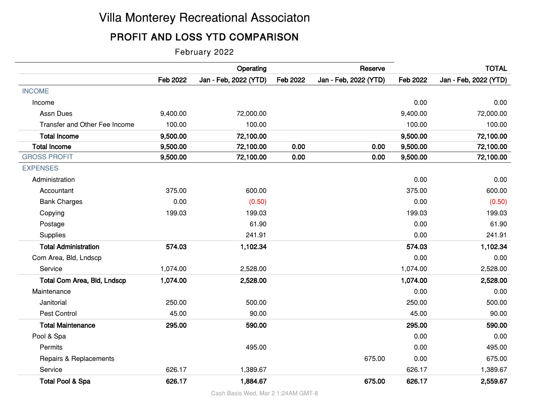## Villa Monterey Recreational Associaton

### **PROFIT AND LOSS YTD COMPARISON**

February 2022

|                                    |          | Operating             |          | Reserve               |          | <b>TOTAL</b>          |
|------------------------------------|----------|-----------------------|----------|-----------------------|----------|-----------------------|
|                                    | Feb 2022 | Jan - Feb, 2022 (YTD) | Feb 2022 | Jan - Feb, 2022 (YTD) | Feb 2022 | Jan - Feb, 2022 (YTD) |
| <b>INCOME</b>                      |          |                       |          |                       |          |                       |
| Income                             |          |                       |          |                       | 0.00     | 0.00                  |
| <b>Assn Dues</b>                   | 9,400.00 | 72,000.00             |          |                       | 9,400.00 | 72,000.00             |
| Transfer and Other Fee Income      | 100.00   | 100.00                |          |                       | 100.00   | 100.00                |
| <b>Total Income</b>                | 9,500.00 | 72,100.00             |          |                       | 9,500.00 | 72,100.00             |
| <b>Total Income</b>                | 9,500.00 | 72,100.00             | 0.00     | 0.00                  | 9,500.00 | 72,100.00             |
| <b>GROSS PROFIT</b>                | 9,500.00 | 72,100.00             | 0.00     | 0.00                  | 9,500.00 | 72,100.00             |
| <b>EXPENSES</b>                    |          |                       |          |                       |          |                       |
| Administration                     |          |                       |          |                       | 0.00     | 0.00                  |
| Accountant                         | 375.00   | 600.00                |          |                       | 375.00   | 600.00                |
| <b>Bank Charges</b>                | 0.00     | (0.50)                |          |                       | 0.00     | (0.50)                |
| Copying                            | 199.03   | 199.03                |          |                       | 199.03   | 199.03                |
| Postage                            |          | 61.90                 |          |                       | 0.00     | 61.90                 |
| Supplies                           |          | 241.91                |          |                       | 0.00     | 241.91                |
| <b>Total Administration</b>        | 574.03   | 1,102.34              |          |                       | 574.03   | 1,102.34              |
| Com Area, Bld, Lndscp              |          |                       |          |                       | 0.00     | 0.00                  |
| Service                            | 1,074.00 | 2,528.00              |          |                       | 1,074.00 | 2,528.00              |
| <b>Total Com Area, Bld, Lndscp</b> | 1,074.00 | 2,528.00              |          |                       | 1,074.00 | 2,528.00              |
| Maintenance                        |          |                       |          |                       | 0.00     | 0.00                  |
| Janitorial                         | 250.00   | 500.00                |          |                       | 250.00   | 500.00                |
| Pest Control                       | 45.00    | 90.00                 |          |                       | 45.00    | 90.00                 |
| <b>Total Maintenance</b>           | 295.00   | 590.00                |          |                       | 295.00   | 590.00                |
| Pool & Spa                         |          |                       |          |                       | 0.00     | 0.00                  |
| Permits                            |          | 495.00                |          |                       | 0.00     | 495.00                |
| Repairs & Replacements             |          |                       |          | 675.00                | 0.00     | 675.00                |
| Service                            | 626.17   | 1,389.67              |          |                       | 626.17   | 1,389.67              |
| <b>Total Pool &amp; Spa</b>        | 626.17   | 1,884.67              |          | 675.00                | 626.17   | 2,559.67              |

Cash Basis Wed, Mar 2 1:24AM GMT-8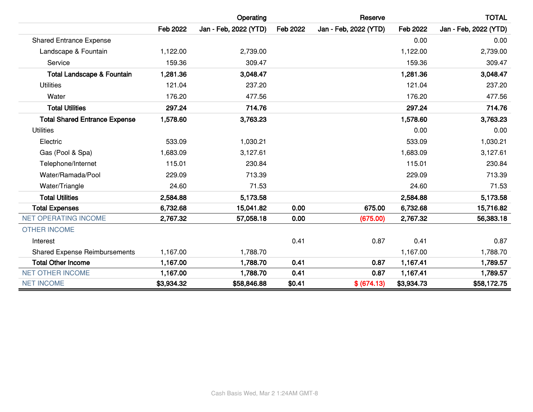|                                       |                 | Operating             |          | Reserve               |            | <b>TOTAL</b>          |
|---------------------------------------|-----------------|-----------------------|----------|-----------------------|------------|-----------------------|
|                                       | <b>Feb 2022</b> | Jan - Feb, 2022 (YTD) | Feb 2022 | Jan - Feb, 2022 (YTD) | Feb 2022   | Jan - Feb, 2022 (YTD) |
| <b>Shared Entrance Expense</b>        |                 |                       |          |                       | 0.00       | 0.00                  |
| Landscape & Fountain                  | 1,122.00        | 2,739.00              |          |                       | 1,122.00   | 2,739.00              |
| Service                               | 159.36          | 309.47                |          |                       | 159.36     | 309.47                |
| <b>Total Landscape &amp; Fountain</b> | 1,281.36        | 3,048.47              |          |                       | 1,281.36   | 3,048.47              |
| <b>Utilities</b>                      | 121.04          | 237.20                |          |                       | 121.04     | 237.20                |
| Water                                 | 176.20          | 477.56                |          |                       | 176.20     | 477.56                |
| <b>Total Utilities</b>                | 297.24          | 714.76                |          |                       | 297.24     | 714.76                |
| <b>Total Shared Entrance Expense</b>  | 1,578.60        | 3,763.23              |          |                       | 1,578.60   | 3,763.23              |
| <b>Utilities</b>                      |                 |                       |          |                       | 0.00       | 0.00                  |
| Electric                              | 533.09          | 1,030.21              |          |                       | 533.09     | 1,030.21              |
| Gas (Pool & Spa)                      | 1,683.09        | 3,127.61              |          |                       | 1,683.09   | 3,127.61              |
| Telephone/Internet                    | 115.01          | 230.84                |          |                       | 115.01     | 230.84                |
| Water/Ramada/Pool                     | 229.09          | 713.39                |          |                       | 229.09     | 713.39                |
| Water/Triangle                        | 24.60           | 71.53                 |          |                       | 24.60      | 71.53                 |
| <b>Total Utilities</b>                | 2,584.88        | 5,173.58              |          |                       | 2,584.88   | 5,173.58              |
| <b>Total Expenses</b>                 | 6,732.68        | 15,041.82             | 0.00     | 675.00                | 6,732.68   | 15,716.82             |
| <b>NET OPERATING INCOME</b>           | 2,767.32        | 57,058.18             | 0.00     | (675.00)              | 2,767.32   | 56,383.18             |
| <b>OTHER INCOME</b>                   |                 |                       |          |                       |            |                       |
| Interest                              |                 |                       | 0.41     | 0.87                  | 0.41       | 0.87                  |
| <b>Shared Expense Reimbursements</b>  | 1,167.00        | 1,788.70              |          |                       | 1,167.00   | 1,788.70              |
| <b>Total Other Income</b>             | 1,167.00        | 1,788.70              | 0.41     | 0.87                  | 1,167.41   | 1,789.57              |
| <b>NET OTHER INCOME</b>               | 1,167.00        | 1,788.70              | 0.41     | 0.87                  | 1,167.41   | 1,789.57              |
| <b>NET INCOME</b>                     | \$3,934.32      | \$58,846.88           | \$0.41   | \$ (674.13)           | \$3,934.73 | \$58,172.75           |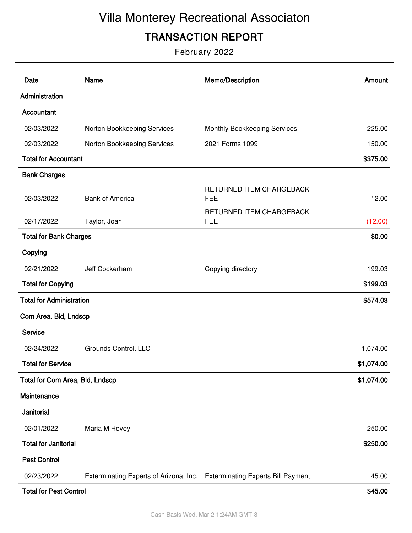# Villa Monterey Recreational Associaton

### **TRANSACTION REPORT**

February 2022

| Date                            | <b>Name</b>                            | Memo/Description                          | Amount     |
|---------------------------------|----------------------------------------|-------------------------------------------|------------|
| Administration                  |                                        |                                           |            |
| Accountant                      |                                        |                                           |            |
| 02/03/2022                      | Norton Bookkeeping Services            | Monthly Bookkeeping Services              | 225.00     |
| 02/03/2022                      | Norton Bookkeeping Services            | 2021 Forms 1099                           | 150.00     |
| <b>Total for Accountant</b>     |                                        |                                           | \$375.00   |
| <b>Bank Charges</b>             |                                        |                                           |            |
| 02/03/2022                      | <b>Bank of America</b>                 | RETURNED ITEM CHARGEBACK<br><b>FEE</b>    | 12.00      |
| 02/17/2022                      | Taylor, Joan                           | RETURNED ITEM CHARGEBACK<br><b>FEE</b>    | (12.00)    |
| <b>Total for Bank Charges</b>   |                                        |                                           | \$0.00     |
| Copying                         |                                        |                                           |            |
| 02/21/2022                      | Jeff Cockerham                         | Copying directory                         | 199.03     |
| <b>Total for Copying</b>        |                                        |                                           | \$199.03   |
| <b>Total for Administration</b> |                                        |                                           | \$574.03   |
| Com Area, Bld, Lndscp           |                                        |                                           |            |
| Service                         |                                        |                                           |            |
| 02/24/2022                      | Grounds Control, LLC                   |                                           | 1,074.00   |
| <b>Total for Service</b>        |                                        |                                           | \$1,074.00 |
| Total for Com Area, Bld, Lndscp |                                        |                                           | \$1,074.00 |
| Maintenance                     |                                        |                                           |            |
| Janitorial                      |                                        |                                           |            |
| 02/01/2022                      | Maria M Hovey                          |                                           | 250.00     |
| <b>Total for Janitorial</b>     |                                        |                                           | \$250.00   |
| <b>Pest Control</b>             |                                        |                                           |            |
| 02/23/2022                      | Exterminating Experts of Arizona, Inc. | <b>Exterminating Experts Bill Payment</b> | 45.00      |
| <b>Total for Pest Control</b>   |                                        |                                           | \$45.00    |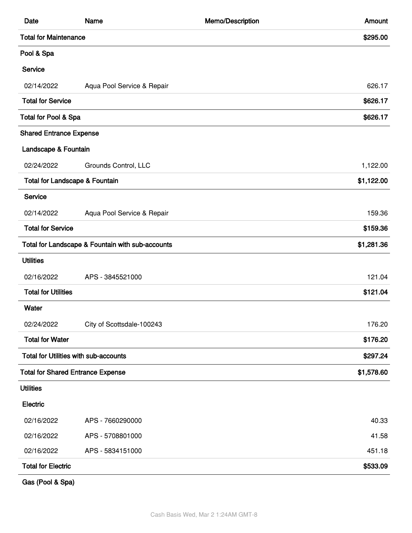| Date                                         | Name                                             | Memo/Description | Amount     |
|----------------------------------------------|--------------------------------------------------|------------------|------------|
| <b>Total for Maintenance</b>                 |                                                  |                  | \$295.00   |
| Pool & Spa                                   |                                                  |                  |            |
| Service                                      |                                                  |                  |            |
| 02/14/2022                                   | Aqua Pool Service & Repair                       |                  | 626.17     |
| <b>Total for Service</b>                     |                                                  |                  | \$626.17   |
| Total for Pool & Spa                         |                                                  |                  | \$626.17   |
| <b>Shared Entrance Expense</b>               |                                                  |                  |            |
| Landscape & Fountain                         |                                                  |                  |            |
| 02/24/2022                                   | Grounds Control, LLC                             |                  | 1,122.00   |
| <b>Total for Landscape &amp; Fountain</b>    |                                                  |                  | \$1,122.00 |
| Service                                      |                                                  |                  |            |
| 02/14/2022                                   | Aqua Pool Service & Repair                       |                  | 159.36     |
| <b>Total for Service</b>                     |                                                  |                  | \$159.36   |
|                                              | Total for Landscape & Fountain with sub-accounts |                  | \$1,281.36 |
| <b>Utilities</b>                             |                                                  |                  |            |
| 02/16/2022                                   | APS - 3845521000                                 |                  | 121.04     |
| <b>Total for Utilities</b>                   |                                                  |                  | \$121.04   |
| Water                                        |                                                  |                  |            |
| 02/24/2022                                   | City of Scottsdale-100243                        |                  | 176.20     |
| <b>Total for Water</b>                       |                                                  |                  | \$176.20   |
| <b>Total for Utilities with sub-accounts</b> |                                                  |                  | \$297.24   |
| <b>Total for Shared Entrance Expense</b>     |                                                  |                  | \$1,578.60 |
| <b>Utilities</b>                             |                                                  |                  |            |
| Electric                                     |                                                  |                  |            |
| 02/16/2022                                   | APS - 7660290000                                 |                  | 40.33      |
| 02/16/2022                                   | APS - 5708801000                                 |                  | 41.58      |
| 02/16/2022                                   | APS - 5834151000                                 |                  | 451.18     |
| <b>Total for Electric</b>                    |                                                  |                  | \$533.09   |
|                                              |                                                  |                  |            |

**Gas (Pool & Spa)**